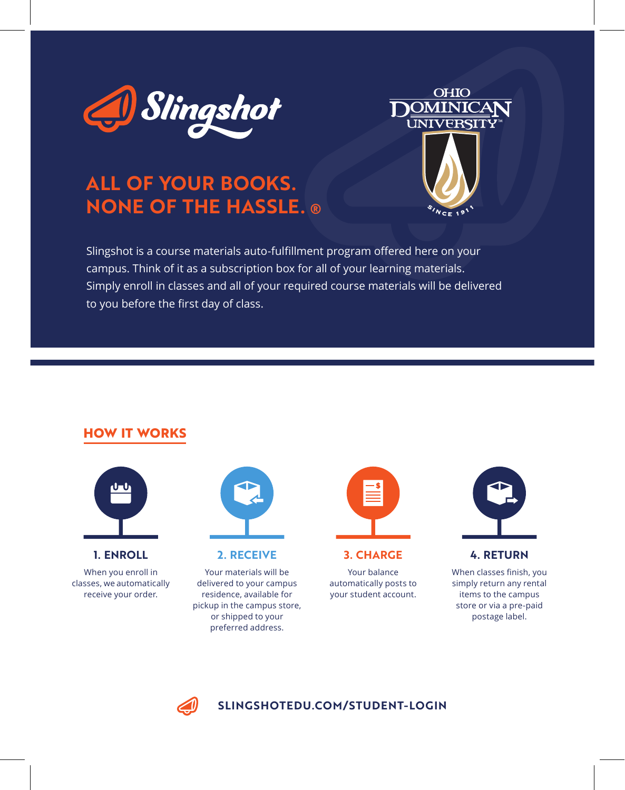

# **ALL OF YOUR BOOKS. NONE OF THE HASSLE.**



Slingshot is a course materials auto-fulfillment program offered here on your campus. Think of it as a subscription box for all of your learning materials. Simply enroll in classes and all of your required course materials will be delivered to you before the first day of class.

## **HOW IT WORKS**



**1. ENROLL**

When you enroll in classes, we automatically receive your order.



**2. RECEIVE**

Your materials will be delivered to your campus residence, available for pickup in the campus store, or shipped to your preferred address.



**3. CHARGE**

Your balance automatically posts to your student account.



When classes finish, you simply return any rental items to the campus store or via a pre-paid postage label.



### **SLINGSHOTEDU.COM/STUDENT-LOGIN**